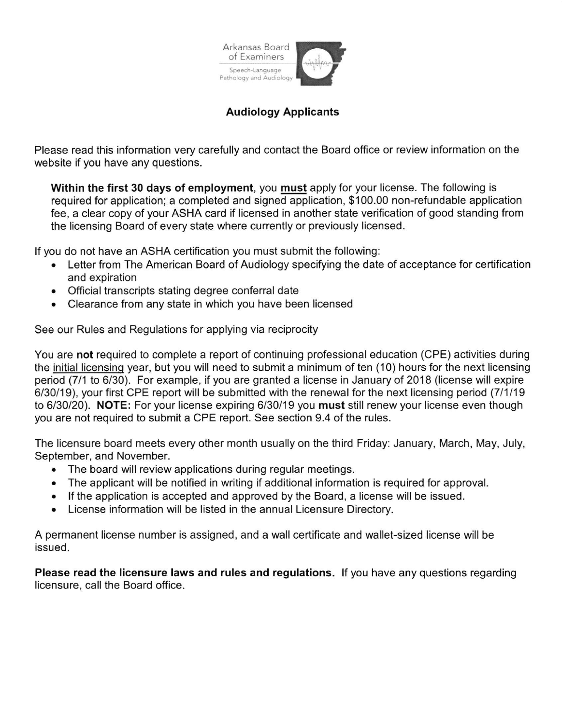

## Audiology Applicants

Please read this information very carefully and contact the Board office or review information on the website if you have any questions.

Within the first 30 days of employment, you must apply for your license. The following is required for application; a completed and signed application, \$100.00 non-refundable application fee, a clear copy of your ASHA card if licensed in another state verification of good standing from the licensing Board of every state where currently or previously licensed.

lf you do not have an ASHA certification you must submit the following:

- . Letter from The American Board of Audiology specifying the date of acceptance for certification and expiration
- Official transcripts stating degree conferral date
- . Clearance from any state in which you have been licensed

See our Rules and Regulations for applying via reciprocity

You are not required to complete a report of continuing professional education (CPE) activities during the initial licensing year, but you will need to submit a minimum of ten (10) hours for the next licensing period (7/1 to 6/30). For example, if you are granted a license in January of 2018 (license will expire 6/30/19), your first CPE report will be submitted with the renewal for the next licensing period (711119 to 6/30/20). NOTE: For your license expiring 6/30/19 you must still renew your license even though you are not required to submit a CPE report. See section 9.4 of the rules.

The licensure board meets every other month usually on the third Friday: January, March, May, July, September, and November.

- The board will review applications during regular meetings.
- . The applicant will be notified in writing if additional information is required for approval.
- . lf the application is accepted and approved by the Board, a license will be issued.
- . License information will be listed in the annual Licensure Directory.

A permanent license number is assigned, and a wall certificate and wallet-sized license will be issued.

Please read the licensure laws and rules and regulations. lf you have any questions regarding licensure, call the Board office.